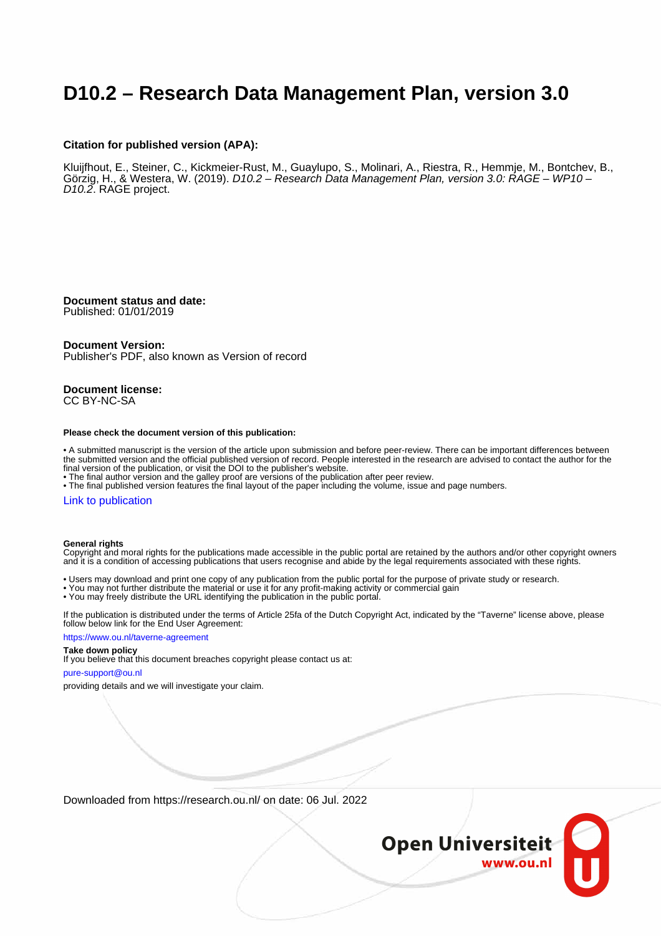# **D10.2 – Research Data Management Plan, version 3.0**

#### **Citation for published version (APA):**

Kluijfhout, E., Steiner, C., Kickmeier-Rust, M., Guaylupo, S., Molinari, A., Riestra, R., Hemmje, M., Bontchev, B., Görzig, H., & Westera, W. (2019). D10.2 – Research Data Management Plan, version 3.0: RAGE – WP10 – D10.2. RAGE project.

**Document status and date:** Published: 01/01/2019

#### **Document Version:**

Publisher's PDF, also known as Version of record

**Document license:** CC BY-NC-SA

#### **Please check the document version of this publication:**

• A submitted manuscript is the version of the article upon submission and before peer-review. There can be important differences between the submitted version and the official published version of record. People interested in the research are advised to contact the author for the final version of the publication, or visit the DOI to the publisher's website.

• The final author version and the galley proof are versions of the publication after peer review.

• The final published version features the final layout of the paper including the volume, issue and page numbers.

#### [Link to publication](https://research.ou.nl/en/publications/4bb4603d-3a99-4583-93de-50657269641b)

#### **General rights**

Copyright and moral rights for the publications made accessible in the public portal are retained by the authors and/or other copyright owners and it is a condition of accessing publications that users recognise and abide by the legal requirements associated with these rights.

- Users may download and print one copy of any publication from the public portal for the purpose of private study or research.
- You may not further distribute the material or use it for any profit-making activity or commercial gain
- You may freely distribute the URL identifying the publication in the public portal.

If the publication is distributed under the terms of Article 25fa of the Dutch Copyright Act, indicated by the "Taverne" license above, please follow below link for the End User Agreement:

#### https://www.ou.nl/taverne-agreement

### **Take down policy**

If you believe that this document breaches copyright please contact us at:

#### pure-support@ou.nl

providing details and we will investigate your claim.

Downloaded from https://research.ou.nl/ on date: 06 Jul. 2022

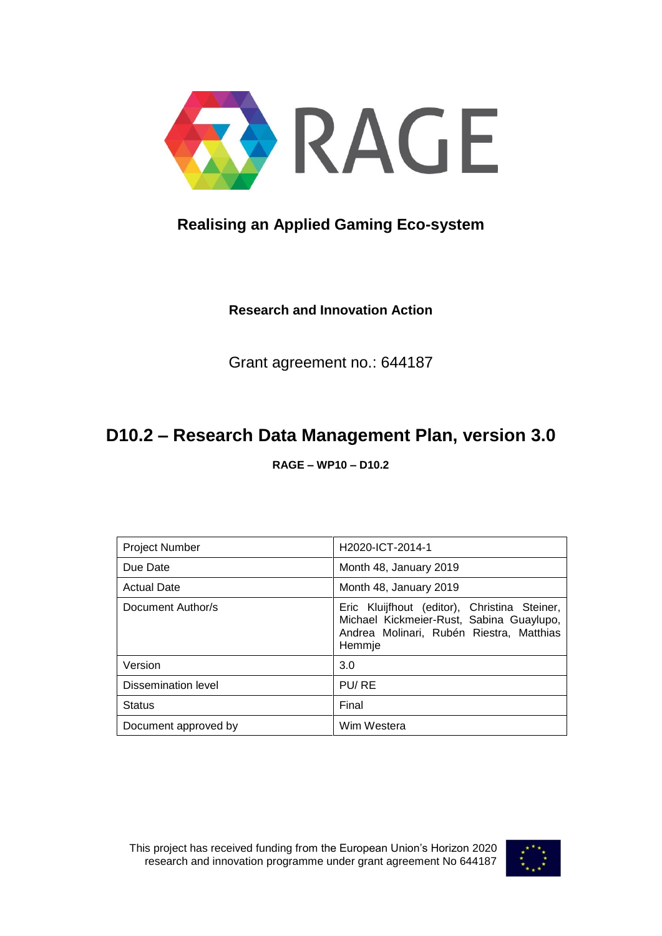

# **Realising an Applied Gaming Eco-system**

**Research and Innovation Action** 

Grant agreement no.: 644187

# **D10.2 – Research Data Management Plan, version 3.0**

**RAGE – WP10 – D10.2**

| <b>Project Number</b> | H <sub>2020</sub> -ICT-2014-1                                                                                                                  |
|-----------------------|------------------------------------------------------------------------------------------------------------------------------------------------|
| Due Date              | Month 48, January 2019                                                                                                                         |
| <b>Actual Date</b>    | Month 48, January 2019                                                                                                                         |
| Document Author/s     | Eric Kluijfhout (editor), Christina Steiner,<br>Michael Kickmeier-Rust, Sabina Guaylupo,<br>Andrea Molinari, Rubén Riestra, Matthias<br>Hemmje |
| Version               | 3.0                                                                                                                                            |
| Dissemination level   | PU/RE                                                                                                                                          |
| <b>Status</b>         | Final                                                                                                                                          |
| Document approved by  | Wim Westera                                                                                                                                    |

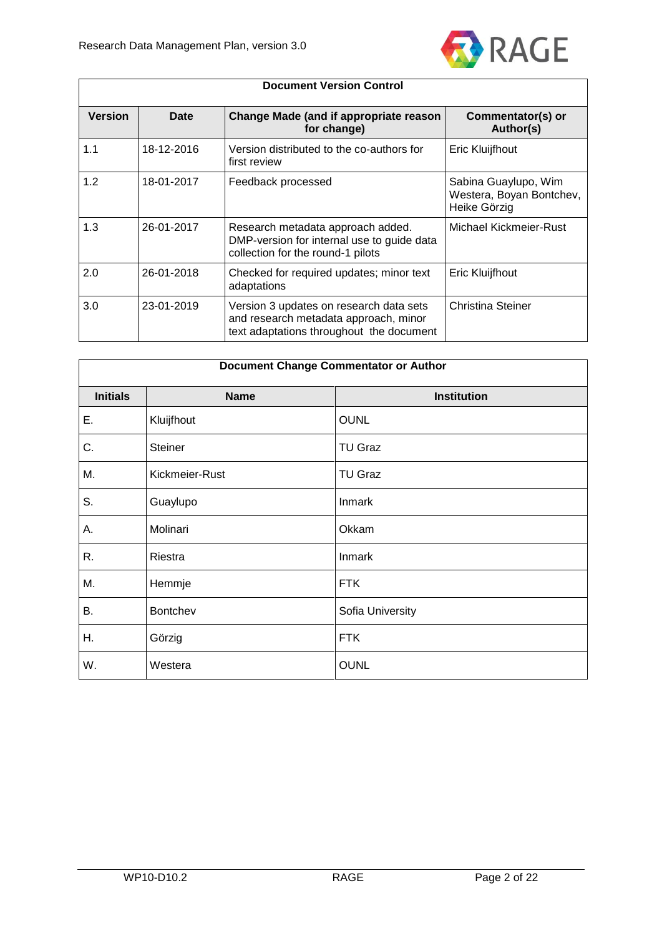

| <b>Document Version Control</b> |            |                                                                                                                              |                                                                  |
|---------------------------------|------------|------------------------------------------------------------------------------------------------------------------------------|------------------------------------------------------------------|
| <b>Version</b>                  | Date       | Change Made (and if appropriate reason<br>for change)                                                                        | Commentator(s) or<br>Author(s)                                   |
| 1.1                             | 18-12-2016 | Version distributed to the co-authors for<br>first review                                                                    | Eric Kluijfhout                                                  |
| 1.2                             | 18-01-2017 | Feedback processed                                                                                                           | Sabina Guaylupo, Wim<br>Westera, Boyan Bontchev,<br>Heike Görzig |
| 1.3                             | 26-01-2017 | Research metadata approach added.<br>DMP-version for internal use to guide data<br>collection for the round-1 pilots         | Michael Kickmeier-Rust                                           |
| 2.0                             | 26-01-2018 | Checked for required updates; minor text<br>adaptations                                                                      | Eric Kluijfhout                                                  |
| 3.0                             | 23-01-2019 | Version 3 updates on research data sets<br>and research metadata approach, minor<br>text adaptations throughout the document | Christina Steiner                                                |

| <b>Document Change Commentator or Author</b> |                |                    |  |
|----------------------------------------------|----------------|--------------------|--|
| <b>Initials</b>                              | <b>Name</b>    | <b>Institution</b> |  |
| Ε.                                           | Kluijfhout     | <b>OUNL</b>        |  |
| C.                                           | Steiner        | <b>TU Graz</b>     |  |
| М.                                           | Kickmeier-Rust | <b>TU Graz</b>     |  |
| S.                                           | Guaylupo       | Inmark             |  |
| А.                                           | Molinari       | Okkam              |  |
| R.                                           | Riestra        | Inmark             |  |
| Μ.                                           | Hemmje         | <b>FTK</b>         |  |
| Β.                                           | Bontchev       | Sofia University   |  |
| Η.                                           | Görzig         | <b>FTK</b>         |  |
| W.                                           | Westera        | <b>OUNL</b>        |  |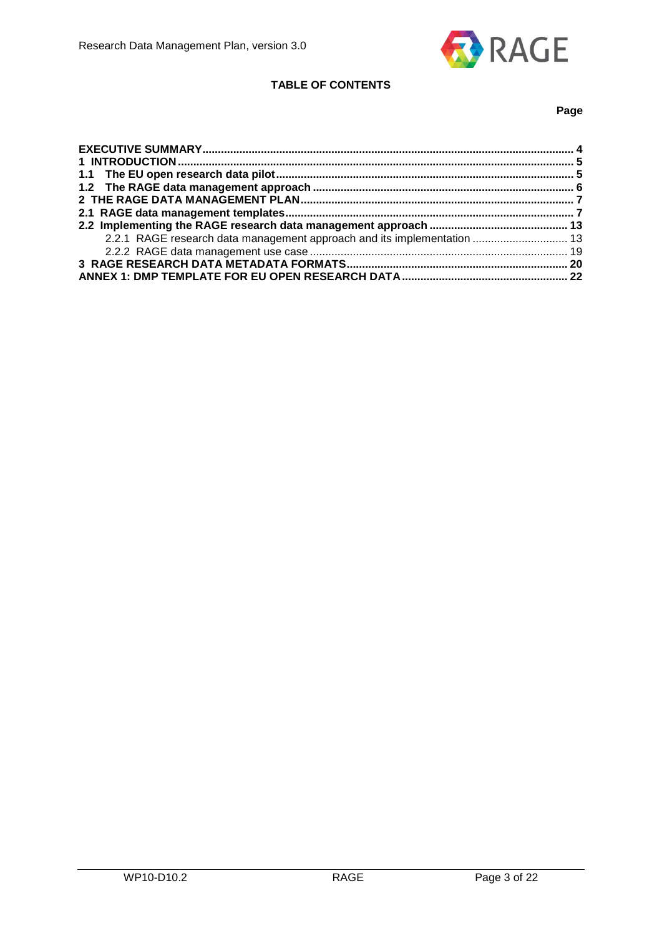

## **TABLE OF CONTENTS**

## **Page**

| 2.2.1 RAGE research data management approach and its implementation  13 |  |
|-------------------------------------------------------------------------|--|
|                                                                         |  |
|                                                                         |  |
|                                                                         |  |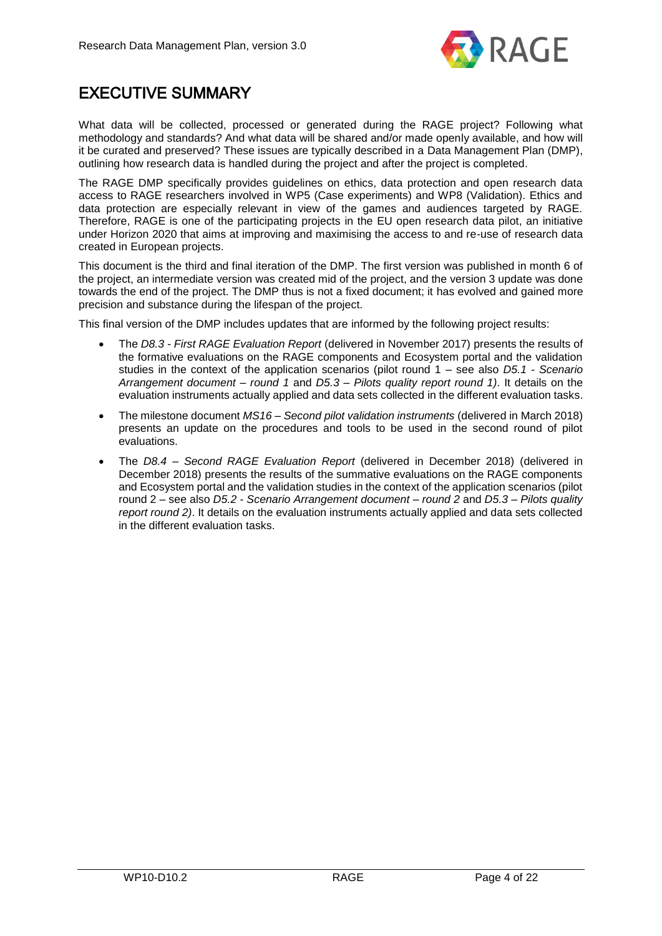

# <span id="page-4-0"></span>EXECUTIVE SUMMARY

What data will be collected, processed or generated during the RAGE project? Following what methodology and standards? And what data will be shared and/or made openly available, and how will it be curated and preserved? These issues are typically described in a Data Management Plan (DMP), outlining how research data is handled during the project and after the project is completed.

The RAGE DMP specifically provides guidelines on ethics, data protection and open research data access to RAGE researchers involved in WP5 (Case experiments) and WP8 (Validation). Ethics and data protection are especially relevant in view of the games and audiences targeted by RAGE. Therefore, RAGE is one of the participating projects in the EU open research data pilot, an initiative under Horizon 2020 that aims at improving and maximising the access to and re-use of research data created in European projects.

This document is the third and final iteration of the DMP. The first version was published in month 6 of the project, an intermediate version was created mid of the project, and the version 3 update was done towards the end of the project. The DMP thus is not a fixed document; it has evolved and gained more precision and substance during the lifespan of the project.

This final version of the DMP includes updates that are informed by the following project results:

- The *D8.3 - First RAGE Evaluation Report* (delivered in November 2017) presents the results of the formative evaluations on the RAGE components and Ecosystem portal and the validation studies in the context of the application scenarios (pilot round 1 – see also *D5.1 - Scenario Arrangement document – round 1* and *D5.3 – Pilots quality report round 1)*. It details on the evaluation instruments actually applied and data sets collected in the different evaluation tasks.
- The milestone document *MS16 – Second pilot validation instruments* (delivered in March 2018) presents an update on the procedures and tools to be used in the second round of pilot evaluations.
- The *D8.4 – Second RAGE Evaluation Report* (delivered in December 2018) (delivered in December 2018) presents the results of the summative evaluations on the RAGE components and Ecosystem portal and the validation studies in the context of the application scenarios (pilot round 2 – see also *D5.2 - Scenario Arrangement document – round 2* and *D5.3 – Pilots quality report round 2)*. It details on the evaluation instruments actually applied and data sets collected in the different evaluation tasks.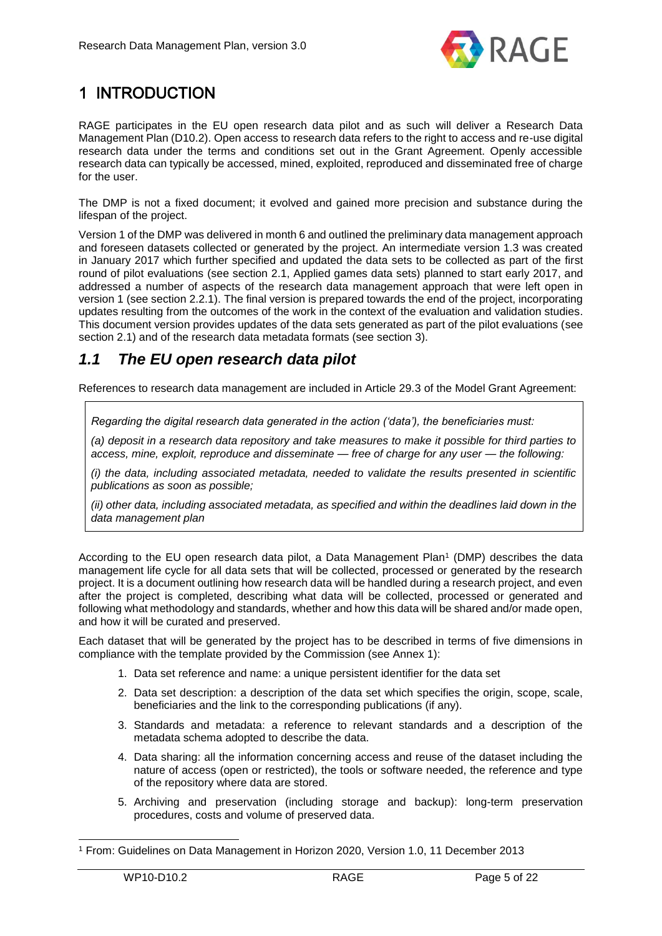

# <span id="page-5-0"></span>1 INTRODUCTION

RAGE participates in the EU open research data pilot and as such will deliver a Research Data Management Plan (D10.2). Open access to research data refers to the right to access and re-use digital research data under the terms and conditions set out in the Grant Agreement. Openly accessible research data can typically be accessed, mined, exploited, reproduced and disseminated free of charge for the user.

The DMP is not a fixed document; it evolved and gained more precision and substance during the lifespan of the project.

Version 1 of the DMP was delivered in month 6 and outlined the preliminary data management approach and foreseen datasets collected or generated by the project. An intermediate version 1.3 was created in January 2017 which further specified and updated the data sets to be collected as part of the first round of pilot evaluations (see section 2.1, Applied games data sets) planned to start early 2017, and addressed a number of aspects of the research data management approach that were left open in version 1 (see section 2.2.1). The final version is prepared towards the end of the project, incorporating updates resulting from the outcomes of the work in the context of the evaluation and validation studies. This document version provides updates of the data sets generated as part of the pilot evaluations (see section 2.1) and of the research data metadata formats (see section 3).

## <span id="page-5-1"></span>*1.1 The EU open research data pilot*

References to research data management are included in Article 29.3 of the Model Grant Agreement:

*Regarding the digital research data generated in the action ('data'), the beneficiaries must:* 

*(a) deposit in a research data repository and take measures to make it possible for third parties to access, mine, exploit, reproduce and disseminate — free of charge for any user — the following:* 

*(i) the data, including associated metadata, needed to validate the results presented in scientific publications as soon as possible;* 

*(ii) other data, including associated metadata, as specified and within the deadlines laid down in the data management plan*

According to the EU open research data pilot, a Data Management Plan<sup>1</sup> (DMP) describes the data management life cycle for all data sets that will be collected, processed or generated by the research project. It is a document outlining how research data will be handled during a research project, and even after the project is completed, describing what data will be collected, processed or generated and following what methodology and standards, whether and how this data will be shared and/or made open, and how it will be curated and preserved.

Each dataset that will be generated by the project has to be described in terms of five dimensions in compliance with the template provided by the Commission (see Annex 1):

- 1. Data set reference and name: a unique persistent identifier for the data set
- 2. Data set description: a description of the data set which specifies the origin, scope, scale, beneficiaries and the link to the corresponding publications (if any).
- 3. Standards and metadata: a reference to relevant standards and a description of the metadata schema adopted to describe the data.
- 4. Data sharing: all the information concerning access and reuse of the dataset including the nature of access (open or restricted), the tools or software needed, the reference and type of the repository where data are stored.
- 5. Archiving and preservation (including storage and backup): long-term preservation procedures, costs and volume of preserved data.

<sup>1</sup> From: Guidelines on Data Management in Horizon 2020, Version 1.0, 11 December 2013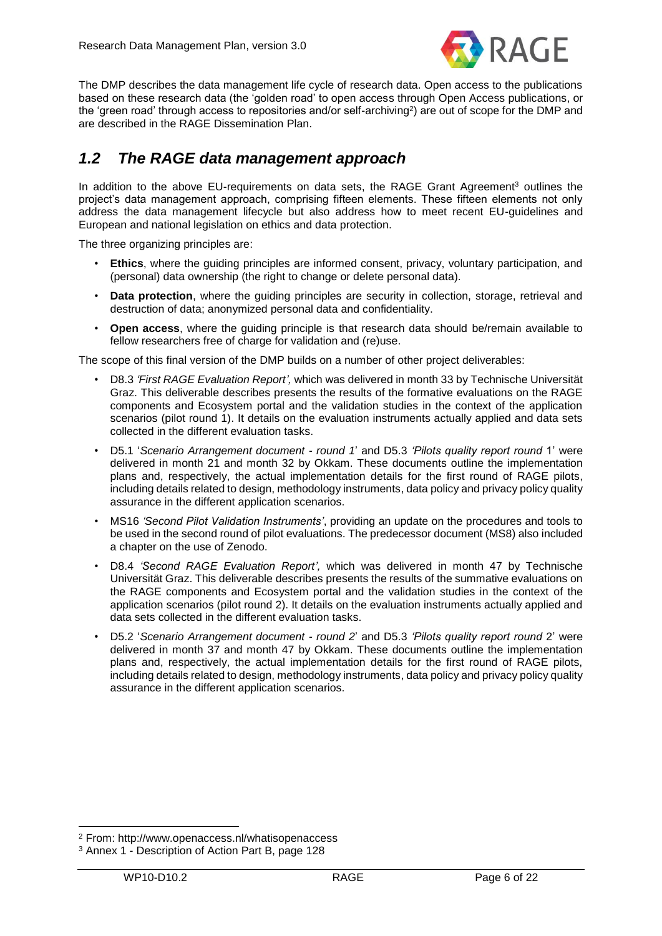

The DMP describes the data management life cycle of research data. Open access to the publications based on these research data (the 'golden road' to open access through Open Access publications, or the 'green road' through access to repositories and/or self-archiving<sup>2</sup>) are out of scope for the DMP and are described in the RAGE Dissemination Plan.

## <span id="page-6-0"></span>*1.2 The RAGE data management approach*

In addition to the above EU-requirements on data sets, the RAGE Grant Agreement<sup>3</sup> outlines the project's data management approach, comprising fifteen elements. These fifteen elements not only address the data management lifecycle but also address how to meet recent EU-guidelines and European and national legislation on ethics and data protection.

The three organizing principles are:

- **Ethics**, where the guiding principles are informed consent, privacy, voluntary participation, and (personal) data ownership (the right to change or delete personal data).
- **Data protection**, where the guiding principles are security in collection, storage, retrieval and destruction of data; anonymized personal data and confidentiality.
- **Open access**, where the guiding principle is that research data should be/remain available to fellow researchers free of charge for validation and (re)use.

The scope of this final version of the DMP builds on a number of other project deliverables:

- D8.3 *'First RAGE Evaluation Report',* which was delivered in month 33 by Technische Universität Graz. This deliverable describes presents the results of the formative evaluations on the RAGE components and Ecosystem portal and the validation studies in the context of the application scenarios (pilot round 1). It details on the evaluation instruments actually applied and data sets collected in the different evaluation tasks.
- D5.1 '*Scenario Arrangement document - round 1*' and D5.3 *'Pilots quality report round* 1' were delivered in month 21 and month 32 by Okkam. These documents outline the implementation plans and, respectively, the actual implementation details for the first round of RAGE pilots, including details related to design, methodology instruments, data policy and privacy policy quality assurance in the different application scenarios.
- MS16 *'Second Pilot Validation Instruments'*, providing an update on the procedures and tools to be used in the second round of pilot evaluations. The predecessor document (MS8) also included a chapter on the use of Zenodo.
- D8.4 *'Second RAGE Evaluation Report',* which was delivered in month 47 by Technische Universität Graz. This deliverable describes presents the results of the summative evaluations on the RAGE components and Ecosystem portal and the validation studies in the context of the application scenarios (pilot round 2). It details on the evaluation instruments actually applied and data sets collected in the different evaluation tasks.
- D5.2 '*Scenario Arrangement document - round 2*' and D5.3 *'Pilots quality report round* 2' were delivered in month 37 and month 47 by Okkam. These documents outline the implementation plans and, respectively, the actual implementation details for the first round of RAGE pilots, including details related to design, methodology instruments, data policy and privacy policy quality assurance in the different application scenarios.

<sup>2</sup> From: http://www.openaccess.nl/whatisopenaccess

<sup>3</sup> Annex 1 - Description of Action Part B, page 128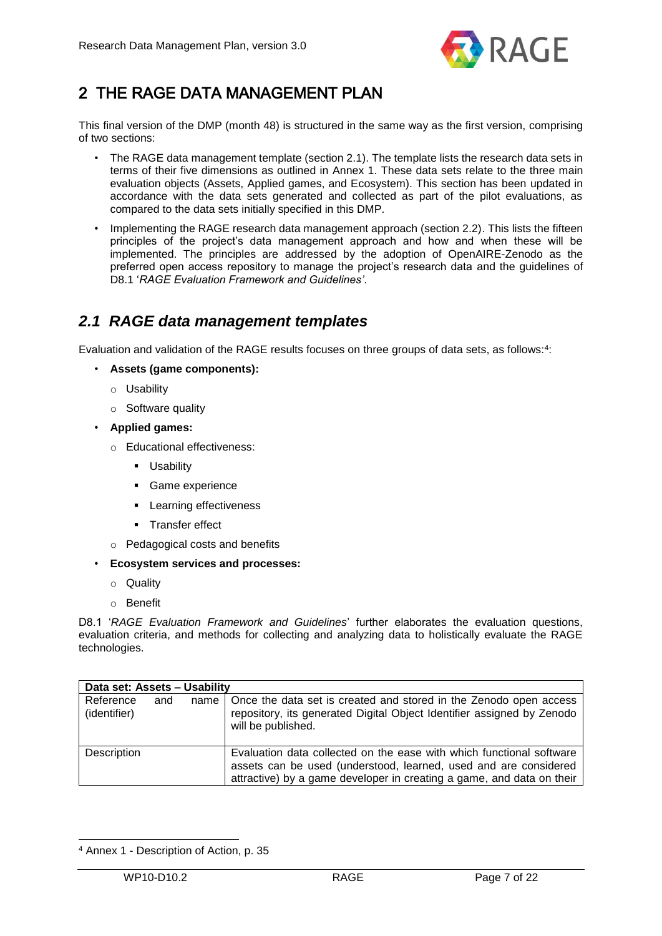

# <span id="page-7-0"></span>2 THE RAGE DATA MANAGEMENT PLAN

This final version of the DMP (month 48) is structured in the same way as the first version, comprising of two sections:

- The RAGE data management template (section 2.1). The template lists the research data sets in terms of their five dimensions as outlined in Annex 1. These data sets relate to the three main evaluation objects (Assets, Applied games, and Ecosystem). This section has been updated in accordance with the data sets generated and collected as part of the pilot evaluations, as compared to the data sets initially specified in this DMP.
- Implementing the RAGE research data management approach (section 2.2). This lists the fifteen principles of the project's data management approach and how and when these will be implemented. The principles are addressed by the adoption of OpenAIRE-Zenodo as the preferred open access repository to manage the project's research data and the guidelines of D8.1 '*RAGE Evaluation Framework and Guidelines'*.

## <span id="page-7-1"></span>*2.1 RAGE data management templates*

Evaluation and validation of the RAGE results focuses on three groups of data sets, as follows:<sup>4</sup> :

- **Assets (game components):** 
	- o Usability
	- o Software quality
- **Applied games:** 
	- o Educational effectiveness:
		- **Usability**
		- Game experience
		- **Learning effectiveness**
		- **Transfer effect**
	- o Pedagogical costs and benefits
- **Ecosystem services and processes:** 
	- o Quality
	- o Benefit

D8.1 '*RAGE Evaluation Framework and Guidelines*' further elaborates the evaluation questions, evaluation criteria, and methods for collecting and analyzing data to holistically evaluate the RAGE technologies.

| Data set: Assets - Usability |     |      |                                                                                                                                                                                                                   |
|------------------------------|-----|------|-------------------------------------------------------------------------------------------------------------------------------------------------------------------------------------------------------------------|
| Reference<br>(identifier)    | and | name | Once the data set is created and stored in the Zenodo open access<br>repository, its generated Digital Object Identifier assigned by Zenodo<br>will be published.                                                 |
| Description                  |     |      | Evaluation data collected on the ease with which functional software<br>assets can be used (understood, learned, used and are considered<br>attractive) by a game developer in creating a game, and data on their |

<sup>4</sup> Annex 1 - Description of Action, p. 35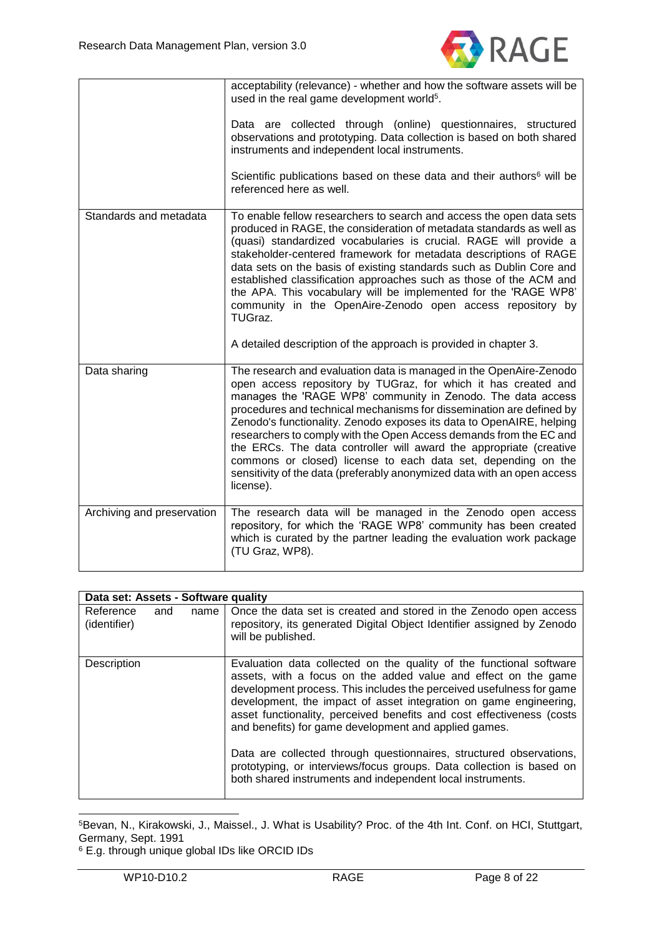

|                        | acceptability (relevance) - whether and how the software assets will be<br>used in the real game development world <sup>5</sup> .                                                                                                                                                                                                                                                                                                                                                                                                                                                                                                                        |
|------------------------|----------------------------------------------------------------------------------------------------------------------------------------------------------------------------------------------------------------------------------------------------------------------------------------------------------------------------------------------------------------------------------------------------------------------------------------------------------------------------------------------------------------------------------------------------------------------------------------------------------------------------------------------------------|
|                        | Data are collected through (online) questionnaires, structured<br>observations and prototyping. Data collection is based on both shared<br>instruments and independent local instruments.                                                                                                                                                                                                                                                                                                                                                                                                                                                                |
|                        | Scientific publications based on these data and their authors <sup>6</sup> will be<br>referenced here as well.                                                                                                                                                                                                                                                                                                                                                                                                                                                                                                                                           |
| Standards and metadata | To enable fellow researchers to search and access the open data sets<br>produced in RAGE, the consideration of metadata standards as well as<br>(quasi) standardized vocabularies is crucial. RAGE will provide a<br>stakeholder-centered framework for metadata descriptions of RAGE<br>data sets on the basis of existing standards such as Dublin Core and<br>established classification approaches such as those of the ACM and<br>the APA. This vocabulary will be implemented for the 'RAGE WP8'<br>community in the OpenAire-Zenodo open access repository by<br>TUGraz.                                                                          |
|                        | A detailed description of the approach is provided in chapter 3.                                                                                                                                                                                                                                                                                                                                                                                                                                                                                                                                                                                         |
|                        |                                                                                                                                                                                                                                                                                                                                                                                                                                                                                                                                                                                                                                                          |
| Data sharing           | The research and evaluation data is managed in the OpenAire-Zenodo<br>open access repository by TUGraz, for which it has created and<br>manages the 'RAGE WP8' community in Zenodo. The data access<br>procedures and technical mechanisms for dissemination are defined by<br>Zenodo's functionality. Zenodo exposes its data to OpenAIRE, helping<br>researchers to comply with the Open Access demands from the EC and<br>the ERCs. The data controller will award the appropriate (creative<br>commons or closed) license to each data set, depending on the<br>sensitivity of the data (preferably anonymized data with an open access<br>license). |

|                           | Data set: Assets - Software quality |      |                                                                                                                                                                                                                                                                                                                                                                                                                                                                                                                                                                                                                                   |
|---------------------------|-------------------------------------|------|-----------------------------------------------------------------------------------------------------------------------------------------------------------------------------------------------------------------------------------------------------------------------------------------------------------------------------------------------------------------------------------------------------------------------------------------------------------------------------------------------------------------------------------------------------------------------------------------------------------------------------------|
| Reference<br>(identifier) | and                                 | name | Once the data set is created and stored in the Zenodo open access<br>repository, its generated Digital Object Identifier assigned by Zenodo<br>will be published.                                                                                                                                                                                                                                                                                                                                                                                                                                                                 |
| Description               |                                     |      | Evaluation data collected on the quality of the functional software<br>assets, with a focus on the added value and effect on the game<br>development process. This includes the perceived usefulness for game<br>development, the impact of asset integration on game engineering,<br>asset functionality, perceived benefits and cost effectiveness (costs<br>and benefits) for game development and applied games.<br>Data are collected through questionnaires, structured observations,<br>prototyping, or interviews/focus groups. Data collection is based on<br>both shared instruments and independent local instruments. |

<sup>5</sup>Bevan, N., Kirakowski, J., Maissel., J. What is Usability? Proc. of the 4th Int. Conf. on HCI, Stuttgart, Germany, Sept. 1991

<sup>6</sup> E.g. through unique global IDs like ORCID IDs

1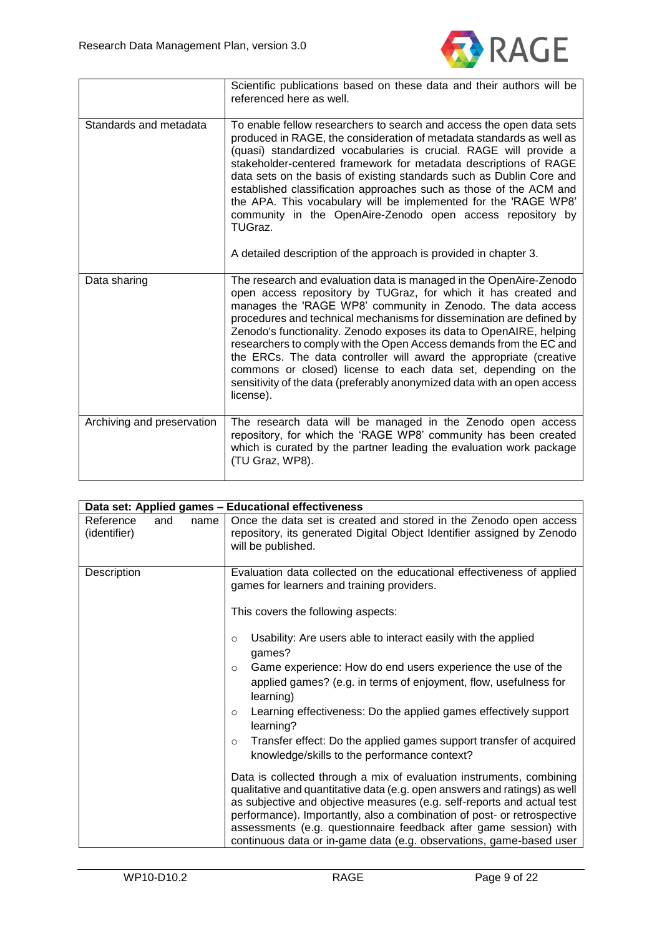

|                            | Scientific publications based on these data and their authors will be<br>referenced here as well.                                                                                                                                                                                                                                                                                                                                                                                                                                                                                                                                                        |
|----------------------------|----------------------------------------------------------------------------------------------------------------------------------------------------------------------------------------------------------------------------------------------------------------------------------------------------------------------------------------------------------------------------------------------------------------------------------------------------------------------------------------------------------------------------------------------------------------------------------------------------------------------------------------------------------|
| Standards and metadata     | To enable fellow researchers to search and access the open data sets<br>produced in RAGE, the consideration of metadata standards as well as<br>(quasi) standardized vocabularies is crucial. RAGE will provide a<br>stakeholder-centered framework for metadata descriptions of RAGE<br>data sets on the basis of existing standards such as Dublin Core and<br>established classification approaches such as those of the ACM and<br>the APA. This vocabulary will be implemented for the 'RAGE WP8'<br>community in the OpenAire-Zenodo open access repository by<br>TUGraz.<br>A detailed description of the approach is provided in chapter 3.      |
| Data sharing               | The research and evaluation data is managed in the OpenAire-Zenodo<br>open access repository by TUGraz, for which it has created and<br>manages the 'RAGE WP8' community in Zenodo. The data access<br>procedures and technical mechanisms for dissemination are defined by<br>Zenodo's functionality. Zenodo exposes its data to OpenAIRE, helping<br>researchers to comply with the Open Access demands from the EC and<br>the ERCs. The data controller will award the appropriate (creative<br>commons or closed) license to each data set, depending on the<br>sensitivity of the data (preferably anonymized data with an open access<br>license). |
| Archiving and preservation | The research data will be managed in the Zenodo open access<br>repository, for which the 'RAGE WP8' community has been created<br>which is curated by the partner leading the evaluation work package<br>(TU Graz, WP8).                                                                                                                                                                                                                                                                                                                                                                                                                                 |

|                                  |      | Data set: Applied games - Educational effectiveness                                                                                                                                                                                                                                                                                                                                                                                                 |
|----------------------------------|------|-----------------------------------------------------------------------------------------------------------------------------------------------------------------------------------------------------------------------------------------------------------------------------------------------------------------------------------------------------------------------------------------------------------------------------------------------------|
| Reference<br>and<br>(identifier) | name | Once the data set is created and stored in the Zenodo open access<br>repository, its generated Digital Object Identifier assigned by Zenodo<br>will be published.                                                                                                                                                                                                                                                                                   |
| Description                      |      | Evaluation data collected on the educational effectiveness of applied<br>games for learners and training providers.                                                                                                                                                                                                                                                                                                                                 |
|                                  |      | This covers the following aspects:                                                                                                                                                                                                                                                                                                                                                                                                                  |
|                                  |      | Usability: Are users able to interact easily with the applied<br>$\circ$<br>games?<br>Game experience: How do end users experience the use of the<br>$\circ$<br>applied games? (e.g. in terms of enjoyment, flow, usefulness for<br>learning)<br>Learning effectiveness: Do the applied games effectively support<br>$\circ$                                                                                                                        |
|                                  |      | learning?<br>Transfer effect: Do the applied games support transfer of acquired<br>$\circ$<br>knowledge/skills to the performance context?                                                                                                                                                                                                                                                                                                          |
|                                  |      | Data is collected through a mix of evaluation instruments, combining<br>qualitative and quantitative data (e.g. open answers and ratings) as well<br>as subjective and objective measures (e.g. self-reports and actual test<br>performance). Importantly, also a combination of post- or retrospective<br>assessments (e.g. questionnaire feedback after game session) with<br>continuous data or in-game data (e.g. observations, game-based user |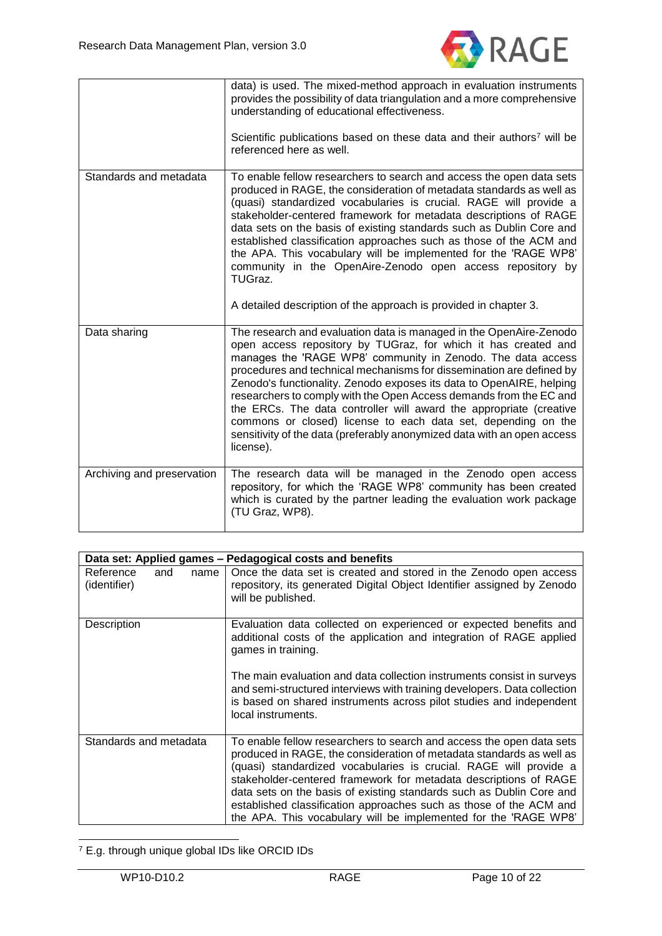

|                            | data) is used. The mixed-method approach in evaluation instruments<br>provides the possibility of data triangulation and a more comprehensive<br>understanding of educational effectiveness.                                                                                                                                                                                                                                                                                                                                                                                                                                                             |
|----------------------------|----------------------------------------------------------------------------------------------------------------------------------------------------------------------------------------------------------------------------------------------------------------------------------------------------------------------------------------------------------------------------------------------------------------------------------------------------------------------------------------------------------------------------------------------------------------------------------------------------------------------------------------------------------|
|                            | Scientific publications based on these data and their authors <sup>7</sup> will be<br>referenced here as well.                                                                                                                                                                                                                                                                                                                                                                                                                                                                                                                                           |
| Standards and metadata     | To enable fellow researchers to search and access the open data sets<br>produced in RAGE, the consideration of metadata standards as well as<br>(quasi) standardized vocabularies is crucial. RAGE will provide a<br>stakeholder-centered framework for metadata descriptions of RAGE<br>data sets on the basis of existing standards such as Dublin Core and<br>established classification approaches such as those of the ACM and<br>the APA. This vocabulary will be implemented for the 'RAGE WP8'<br>community in the OpenAire-Zenodo open access repository by<br>TUGraz.                                                                          |
|                            | A detailed description of the approach is provided in chapter 3.                                                                                                                                                                                                                                                                                                                                                                                                                                                                                                                                                                                         |
| Data sharing               | The research and evaluation data is managed in the OpenAire-Zenodo<br>open access repository by TUGraz, for which it has created and<br>manages the 'RAGE WP8' community in Zenodo. The data access<br>procedures and technical mechanisms for dissemination are defined by<br>Zenodo's functionality. Zenodo exposes its data to OpenAIRE, helping<br>researchers to comply with the Open Access demands from the EC and<br>the ERCs. The data controller will award the appropriate (creative<br>commons or closed) license to each data set, depending on the<br>sensitivity of the data (preferably anonymized data with an open access<br>license). |
| Archiving and preservation | The research data will be managed in the Zenodo open access<br>repository, for which the 'RAGE WP8' community has been created<br>which is curated by the partner leading the evaluation work package<br>(TU Graz, WP8).                                                                                                                                                                                                                                                                                                                                                                                                                                 |

| Data set: Applied games - Pedagogical costs and benefits |                                                                                                                                                                                                                                                                                                                                                                                                                                                                                                        |  |
|----------------------------------------------------------|--------------------------------------------------------------------------------------------------------------------------------------------------------------------------------------------------------------------------------------------------------------------------------------------------------------------------------------------------------------------------------------------------------------------------------------------------------------------------------------------------------|--|
| Reference<br>and<br>name<br>(identifier)                 | Once the data set is created and stored in the Zenodo open access<br>repository, its generated Digital Object Identifier assigned by Zenodo<br>will be published.                                                                                                                                                                                                                                                                                                                                      |  |
| Description                                              | Evaluation data collected on experienced or expected benefits and<br>additional costs of the application and integration of RAGE applied<br>games in training.                                                                                                                                                                                                                                                                                                                                         |  |
|                                                          | The main evaluation and data collection instruments consist in surveys<br>and semi-structured interviews with training developers. Data collection<br>is based on shared instruments across pilot studies and independent<br>local instruments.                                                                                                                                                                                                                                                        |  |
| Standards and metadata                                   | To enable fellow researchers to search and access the open data sets<br>produced in RAGE, the consideration of metadata standards as well as<br>(quasi) standardized vocabularies is crucial. RAGE will provide a<br>stakeholder-centered framework for metadata descriptions of RAGE<br>data sets on the basis of existing standards such as Dublin Core and<br>established classification approaches such as those of the ACM and<br>the APA. This vocabulary will be implemented for the 'RAGE WP8' |  |

<sup>-</sup><sup>7</sup> E.g. through unique global IDs like ORCID IDs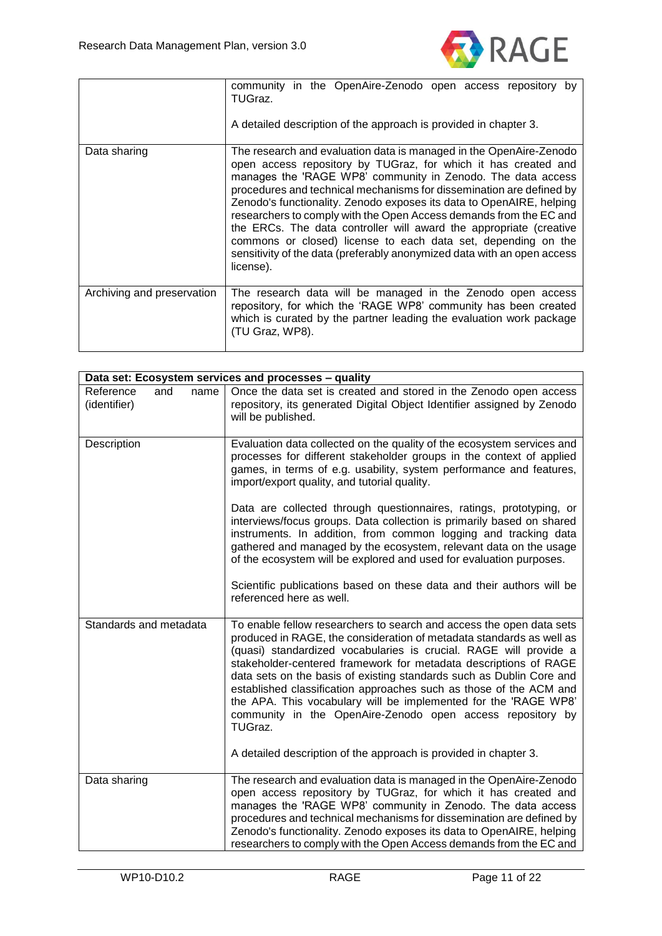

|                            | community in the OpenAire-Zenodo open access repository by<br>TUGraz.<br>A detailed description of the approach is provided in chapter 3.                                                                                                                                                                                                                                                                                                                                                                                                                                                                                                                |
|----------------------------|----------------------------------------------------------------------------------------------------------------------------------------------------------------------------------------------------------------------------------------------------------------------------------------------------------------------------------------------------------------------------------------------------------------------------------------------------------------------------------------------------------------------------------------------------------------------------------------------------------------------------------------------------------|
| Data sharing               | The research and evaluation data is managed in the OpenAire-Zenodo<br>open access repository by TUGraz, for which it has created and<br>manages the 'RAGE WP8' community in Zenodo. The data access<br>procedures and technical mechanisms for dissemination are defined by<br>Zenodo's functionality. Zenodo exposes its data to OpenAIRE, helping<br>researchers to comply with the Open Access demands from the EC and<br>the ERCs. The data controller will award the appropriate (creative<br>commons or closed) license to each data set, depending on the<br>sensitivity of the data (preferably anonymized data with an open access<br>license). |
| Archiving and preservation | The research data will be managed in the Zenodo open access<br>repository, for which the 'RAGE WP8' community has been created<br>which is curated by the partner leading the evaluation work package<br>(TU Graz, WP8).                                                                                                                                                                                                                                                                                                                                                                                                                                 |

|                                          | Data set: Ecosystem services and processes - quality                                                                                                                                                                                                                                                                                                                                                                                                                                                                                                                                                                                                |  |
|------------------------------------------|-----------------------------------------------------------------------------------------------------------------------------------------------------------------------------------------------------------------------------------------------------------------------------------------------------------------------------------------------------------------------------------------------------------------------------------------------------------------------------------------------------------------------------------------------------------------------------------------------------------------------------------------------------|--|
| Reference<br>and<br>name<br>(identifier) | Once the data set is created and stored in the Zenodo open access<br>repository, its generated Digital Object Identifier assigned by Zenodo<br>will be published.                                                                                                                                                                                                                                                                                                                                                                                                                                                                                   |  |
| Description                              | Evaluation data collected on the quality of the ecosystem services and<br>processes for different stakeholder groups in the context of applied<br>games, in terms of e.g. usability, system performance and features,<br>import/export quality, and tutorial quality.                                                                                                                                                                                                                                                                                                                                                                               |  |
|                                          | Data are collected through questionnaires, ratings, prototyping, or<br>interviews/focus groups. Data collection is primarily based on shared<br>instruments. In addition, from common logging and tracking data<br>gathered and managed by the ecosystem, relevant data on the usage<br>of the ecosystem will be explored and used for evaluation purposes.                                                                                                                                                                                                                                                                                         |  |
|                                          | Scientific publications based on these data and their authors will be<br>referenced here as well.                                                                                                                                                                                                                                                                                                                                                                                                                                                                                                                                                   |  |
| Standards and metadata                   | To enable fellow researchers to search and access the open data sets<br>produced in RAGE, the consideration of metadata standards as well as<br>(quasi) standardized vocabularies is crucial. RAGE will provide a<br>stakeholder-centered framework for metadata descriptions of RAGE<br>data sets on the basis of existing standards such as Dublin Core and<br>established classification approaches such as those of the ACM and<br>the APA. This vocabulary will be implemented for the 'RAGE WP8'<br>community in the OpenAire-Zenodo open access repository by<br>TUGraz.<br>A detailed description of the approach is provided in chapter 3. |  |
|                                          |                                                                                                                                                                                                                                                                                                                                                                                                                                                                                                                                                                                                                                                     |  |
| Data sharing                             | The research and evaluation data is managed in the OpenAire-Zenodo<br>open access repository by TUGraz, for which it has created and<br>manages the 'RAGE WP8' community in Zenodo. The data access<br>procedures and technical mechanisms for dissemination are defined by<br>Zenodo's functionality. Zenodo exposes its data to OpenAIRE, helping<br>researchers to comply with the Open Access demands from the EC and                                                                                                                                                                                                                           |  |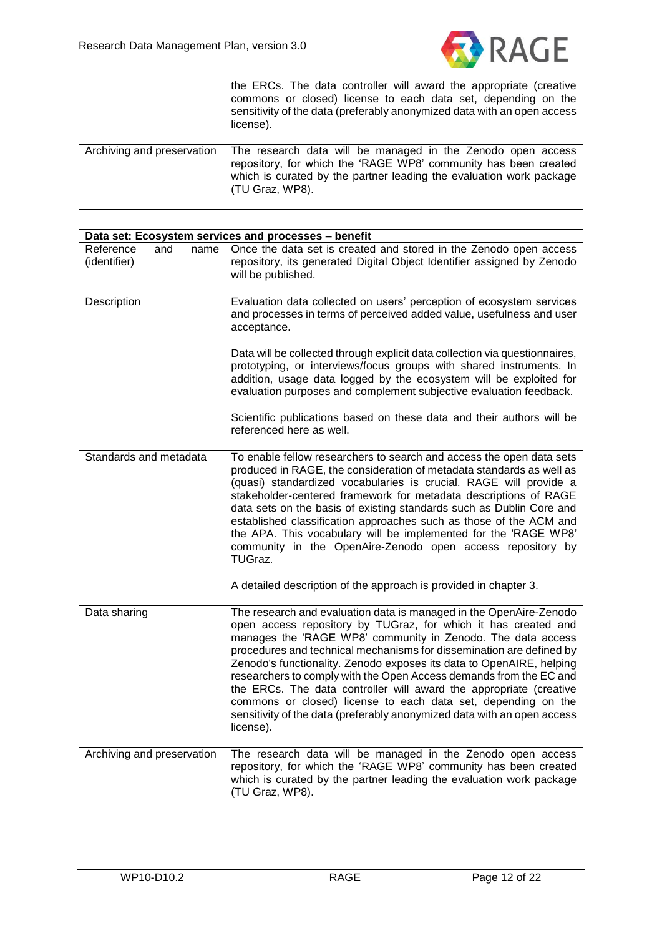

|                            | the ERCs. The data controller will award the appropriate (creative<br>commons or closed) license to each data set, depending on the<br>sensitivity of the data (preferably anonymized data with an open access<br>license). |
|----------------------------|-----------------------------------------------------------------------------------------------------------------------------------------------------------------------------------------------------------------------------|
| Archiving and preservation | The research data will be managed in the Zenodo open access<br>repository, for which the 'RAGE WP8' community has been created<br>which is curated by the partner leading the evaluation work package<br>(TU Graz, WP8).    |

| Data set: Ecosystem services and processes - benefit |                                                                                                                                                                                                                                                                                                                                                                                                                                                                                                                                                                                                                                                          |  |  |  |
|------------------------------------------------------|----------------------------------------------------------------------------------------------------------------------------------------------------------------------------------------------------------------------------------------------------------------------------------------------------------------------------------------------------------------------------------------------------------------------------------------------------------------------------------------------------------------------------------------------------------------------------------------------------------------------------------------------------------|--|--|--|
| Reference<br>and<br>name<br>(identifier)             | Once the data set is created and stored in the Zenodo open access<br>repository, its generated Digital Object Identifier assigned by Zenodo<br>will be published.                                                                                                                                                                                                                                                                                                                                                                                                                                                                                        |  |  |  |
| Description                                          | Evaluation data collected on users' perception of ecosystem services<br>and processes in terms of perceived added value, usefulness and user<br>acceptance.                                                                                                                                                                                                                                                                                                                                                                                                                                                                                              |  |  |  |
|                                                      | Data will be collected through explicit data collection via questionnaires,<br>prototyping, or interviews/focus groups with shared instruments. In<br>addition, usage data logged by the ecosystem will be exploited for<br>evaluation purposes and complement subjective evaluation feedback.                                                                                                                                                                                                                                                                                                                                                           |  |  |  |
|                                                      | Scientific publications based on these data and their authors will be<br>referenced here as well.                                                                                                                                                                                                                                                                                                                                                                                                                                                                                                                                                        |  |  |  |
| Standards and metadata                               | To enable fellow researchers to search and access the open data sets<br>produced in RAGE, the consideration of metadata standards as well as<br>(quasi) standardized vocabularies is crucial. RAGE will provide a<br>stakeholder-centered framework for metadata descriptions of RAGE<br>data sets on the basis of existing standards such as Dublin Core and<br>established classification approaches such as those of the ACM and<br>the APA. This vocabulary will be implemented for the 'RAGE WP8'<br>community in the OpenAire-Zenodo open access repository by<br>TUGraz.                                                                          |  |  |  |
|                                                      | A detailed description of the approach is provided in chapter 3.                                                                                                                                                                                                                                                                                                                                                                                                                                                                                                                                                                                         |  |  |  |
| Data sharing                                         | The research and evaluation data is managed in the OpenAire-Zenodo<br>open access repository by TUGraz, for which it has created and<br>manages the 'RAGE WP8' community in Zenodo. The data access<br>procedures and technical mechanisms for dissemination are defined by<br>Zenodo's functionality. Zenodo exposes its data to OpenAIRE, helping<br>researchers to comply with the Open Access demands from the EC and<br>the ERCs. The data controller will award the appropriate (creative<br>commons or closed) license to each data set, depending on the<br>sensitivity of the data (preferably anonymized data with an open access<br>license). |  |  |  |
| Archiving and preservation                           | The research data will be managed in the Zenodo open access<br>repository, for which the 'RAGE WP8' community has been created<br>which is curated by the partner leading the evaluation work package<br>(TU Graz, WP8).                                                                                                                                                                                                                                                                                                                                                                                                                                 |  |  |  |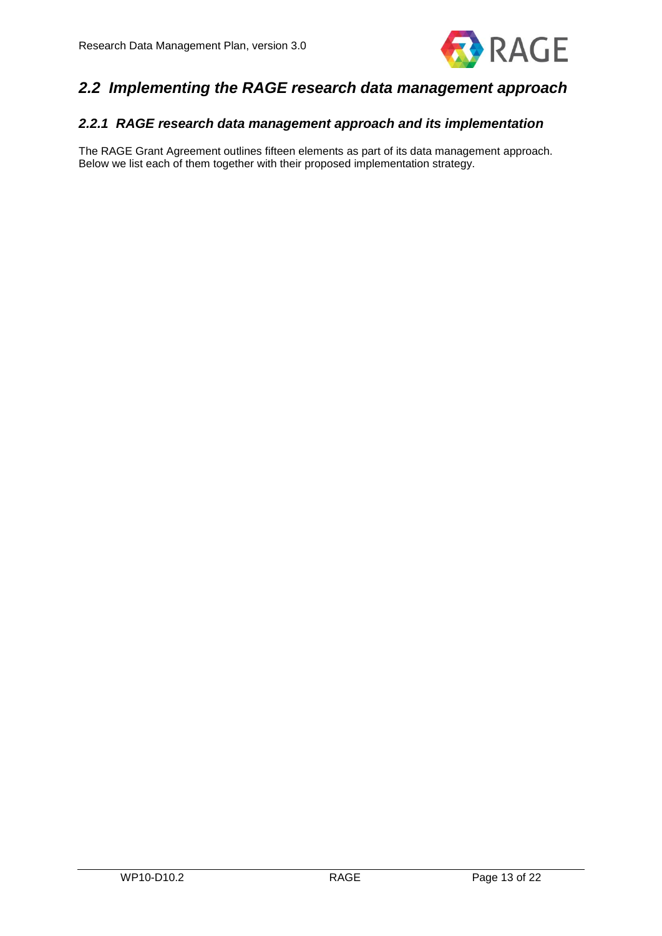

# <span id="page-13-0"></span>*2.2 Implementing the RAGE research data management approach*

## <span id="page-13-1"></span>*2.2.1 RAGE research data management approach and its implementation*

The RAGE Grant Agreement outlines fifteen elements as part of its data management approach. Below we list each of them together with their proposed implementation strategy.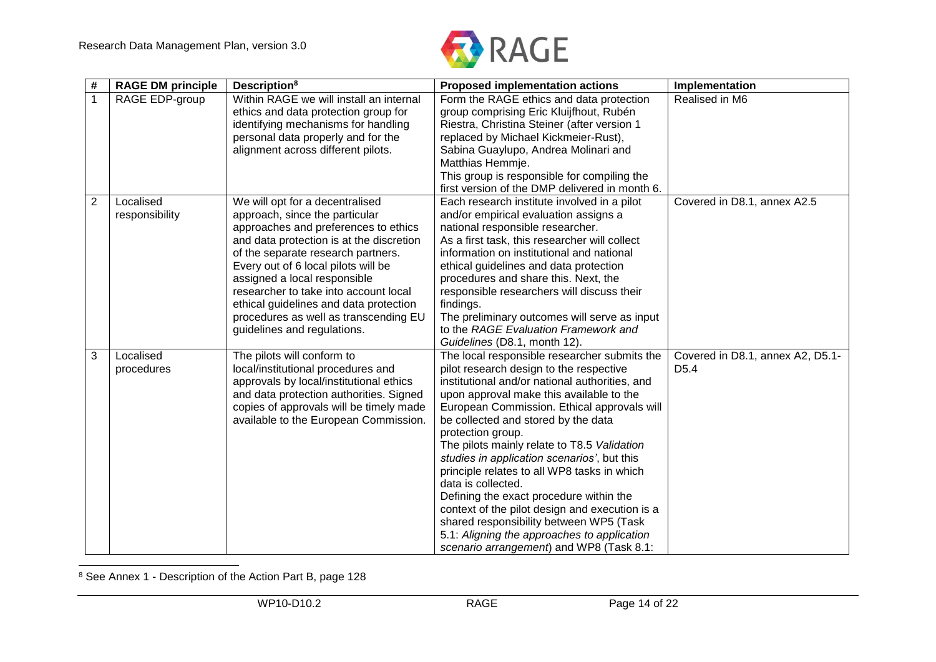

| #              | <b>RAGE DM principle</b>    | Description <sup>8</sup>                                                                                                                                                                                                                                                                                                                                                                                                      | <b>Proposed implementation actions</b>                                                                                                                                                                                                                                                                                                                                                                                                                                                                                                                                                                                                                                                                 | Implementation                                       |
|----------------|-----------------------------|-------------------------------------------------------------------------------------------------------------------------------------------------------------------------------------------------------------------------------------------------------------------------------------------------------------------------------------------------------------------------------------------------------------------------------|--------------------------------------------------------------------------------------------------------------------------------------------------------------------------------------------------------------------------------------------------------------------------------------------------------------------------------------------------------------------------------------------------------------------------------------------------------------------------------------------------------------------------------------------------------------------------------------------------------------------------------------------------------------------------------------------------------|------------------------------------------------------|
| $\mathbf 1$    | RAGE EDP-group              | Within RAGE we will install an internal<br>ethics and data protection group for<br>identifying mechanisms for handling                                                                                                                                                                                                                                                                                                        | Form the RAGE ethics and data protection<br>group comprising Eric Kluijfhout, Rubén<br>Riestra, Christina Steiner (after version 1                                                                                                                                                                                                                                                                                                                                                                                                                                                                                                                                                                     | Realised in M6                                       |
|                |                             | personal data properly and for the<br>alignment across different pilots.                                                                                                                                                                                                                                                                                                                                                      | replaced by Michael Kickmeier-Rust),<br>Sabina Guaylupo, Andrea Molinari and<br>Matthias Hemmje.                                                                                                                                                                                                                                                                                                                                                                                                                                                                                                                                                                                                       |                                                      |
|                |                             |                                                                                                                                                                                                                                                                                                                                                                                                                               | This group is responsible for compiling the<br>first version of the DMP delivered in month 6.                                                                                                                                                                                                                                                                                                                                                                                                                                                                                                                                                                                                          |                                                      |
| $\overline{2}$ | Localised<br>responsibility | We will opt for a decentralised<br>approach, since the particular<br>approaches and preferences to ethics<br>and data protection is at the discretion<br>of the separate research partners.<br>Every out of 6 local pilots will be<br>assigned a local responsible<br>researcher to take into account local<br>ethical guidelines and data protection<br>procedures as well as transcending EU<br>guidelines and regulations. | Each research institute involved in a pilot<br>and/or empirical evaluation assigns a<br>national responsible researcher.<br>As a first task, this researcher will collect<br>information on institutional and national<br>ethical guidelines and data protection<br>procedures and share this. Next, the<br>responsible researchers will discuss their<br>findings.<br>The preliminary outcomes will serve as input<br>to the RAGE Evaluation Framework and<br>Guidelines (D8.1, month 12).                                                                                                                                                                                                            | Covered in D8.1, annex A2.5                          |
| 3              | Localised<br>procedures     | The pilots will conform to<br>local/institutional procedures and<br>approvals by local/institutional ethics<br>and data protection authorities. Signed<br>copies of approvals will be timely made<br>available to the European Commission.                                                                                                                                                                                    | The local responsible researcher submits the<br>pilot research design to the respective<br>institutional and/or national authorities, and<br>upon approval make this available to the<br>European Commission. Ethical approvals will<br>be collected and stored by the data<br>protection group.<br>The pilots mainly relate to T8.5 Validation<br>studies in application scenarios', but this<br>principle relates to all WP8 tasks in which<br>data is collected.<br>Defining the exact procedure within the<br>context of the pilot design and execution is a<br>shared responsibility between WP5 (Task<br>5.1: Aligning the approaches to application<br>scenario arrangement) and WP8 (Task 8.1: | Covered in D8.1, annex A2, D5.1-<br>D <sub>5.4</sub> |

<sup>8</sup> See Annex 1 - Description of the Action Part B, page 128

 $\overline{a}$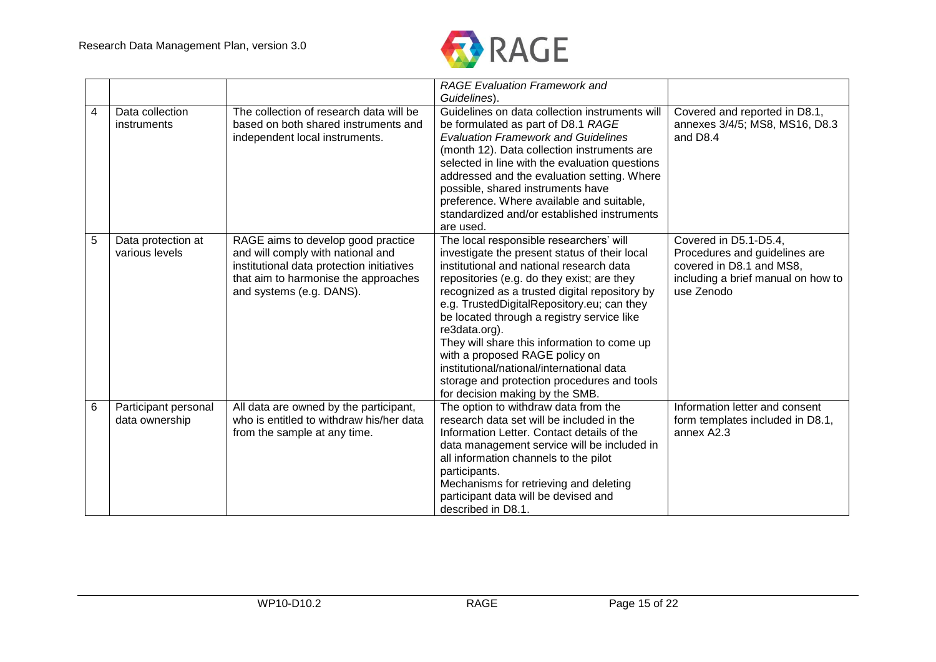

|   |                                        |                                                                                                                                                                                          | <b>RAGE Evaluation Framework and</b><br>Guidelines).                                                                                                                                                                                                                                                                                                                                                                                                                                                                                                             |                                                                                                                                        |
|---|----------------------------------------|------------------------------------------------------------------------------------------------------------------------------------------------------------------------------------------|------------------------------------------------------------------------------------------------------------------------------------------------------------------------------------------------------------------------------------------------------------------------------------------------------------------------------------------------------------------------------------------------------------------------------------------------------------------------------------------------------------------------------------------------------------------|----------------------------------------------------------------------------------------------------------------------------------------|
| 4 | Data collection<br>instruments         | The collection of research data will be<br>based on both shared instruments and<br>independent local instruments.                                                                        | Guidelines on data collection instruments will<br>be formulated as part of D8.1 RAGE<br><b>Evaluation Framework and Guidelines</b><br>(month 12). Data collection instruments are<br>selected in line with the evaluation questions<br>addressed and the evaluation setting. Where<br>possible, shared instruments have<br>preference. Where available and suitable,<br>standardized and/or established instruments<br>are used.                                                                                                                                 | Covered and reported in D8.1,<br>annexes 3/4/5; MS8, MS16, D8.3<br>and D8.4                                                            |
| 5 | Data protection at<br>various levels   | RAGE aims to develop good practice<br>and will comply with national and<br>institutional data protection initiatives<br>that aim to harmonise the approaches<br>and systems (e.g. DANS). | The local responsible researchers' will<br>investigate the present status of their local<br>institutional and national research data<br>repositories (e.g. do they exist; are they<br>recognized as a trusted digital repository by<br>e.g. TrustedDigitalRepository.eu; can they<br>be located through a registry service like<br>re3data.org).<br>They will share this information to come up<br>with a proposed RAGE policy on<br>institutional/national/international data<br>storage and protection procedures and tools<br>for decision making by the SMB. | Covered in D5.1-D5.4,<br>Procedures and guidelines are<br>covered in D8.1 and MS8,<br>including a brief manual on how to<br>use Zenodo |
| 6 | Participant personal<br>data ownership | All data are owned by the participant,<br>who is entitled to withdraw his/her data<br>from the sample at any time.                                                                       | The option to withdraw data from the<br>research data set will be included in the<br>Information Letter. Contact details of the<br>data management service will be included in<br>all information channels to the pilot<br>participants.<br>Mechanisms for retrieving and deleting<br>participant data will be devised and<br>described in D8.1.                                                                                                                                                                                                                 | Information letter and consent<br>form templates included in D8.1,<br>annex A2.3                                                       |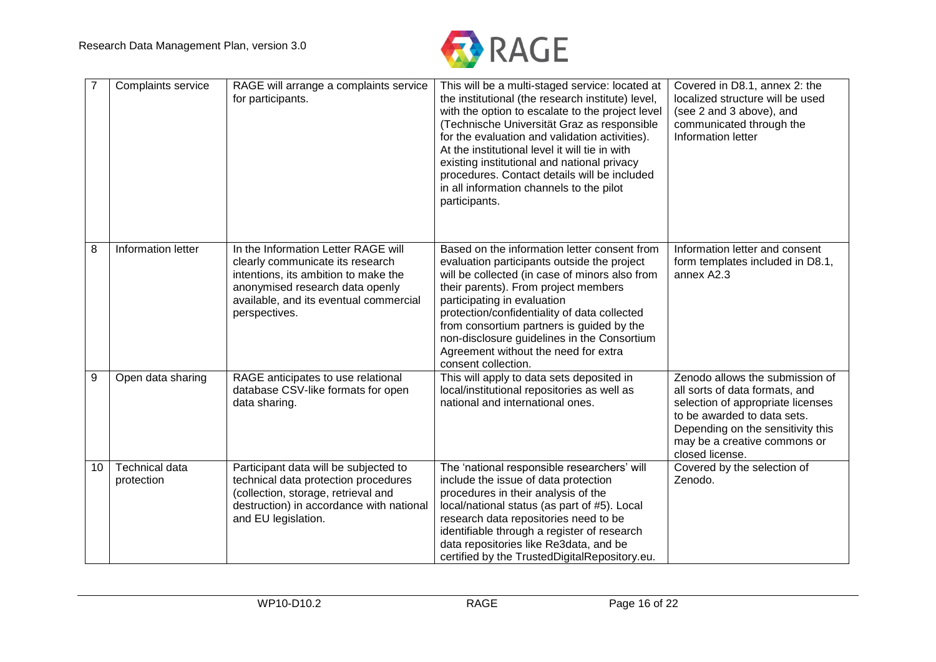

|    | Complaints service                  | RAGE will arrange a complaints service<br>for participants.                                                                                                                                                   | This will be a multi-staged service: located at<br>the institutional (the research institute) level,<br>with the option to escalate to the project level<br>(Technische Universität Graz as responsible<br>for the evaluation and validation activities).<br>At the institutional level it will tie in with<br>existing institutional and national privacy<br>procedures. Contact details will be included<br>in all information channels to the pilot<br>participants. | Covered in D8.1, annex 2: the<br>localized structure will be used<br>(see 2 and 3 above), and<br>communicated through the<br>Information letter                                                                               |
|----|-------------------------------------|---------------------------------------------------------------------------------------------------------------------------------------------------------------------------------------------------------------|-------------------------------------------------------------------------------------------------------------------------------------------------------------------------------------------------------------------------------------------------------------------------------------------------------------------------------------------------------------------------------------------------------------------------------------------------------------------------|-------------------------------------------------------------------------------------------------------------------------------------------------------------------------------------------------------------------------------|
| 8  | Information letter                  | In the Information Letter RAGE will<br>clearly communicate its research<br>intentions, its ambition to make the<br>anonymised research data openly<br>available, and its eventual commercial<br>perspectives. | Based on the information letter consent from<br>evaluation participants outside the project<br>will be collected (in case of minors also from<br>their parents). From project members<br>participating in evaluation<br>protection/confidentiality of data collected<br>from consortium partners is guided by the<br>non-disclosure guidelines in the Consortium<br>Agreement without the need for extra<br>consent collection.                                         | Information letter and consent<br>form templates included in D8.1,<br>annex A2.3                                                                                                                                              |
| 9  | Open data sharing                   | RAGE anticipates to use relational<br>database CSV-like formats for open<br>data sharing.                                                                                                                     | This will apply to data sets deposited in<br>local/institutional repositories as well as<br>national and international ones.                                                                                                                                                                                                                                                                                                                                            | Zenodo allows the submission of<br>all sorts of data formats, and<br>selection of appropriate licenses<br>to be awarded to data sets.<br>Depending on the sensitivity this<br>may be a creative commons or<br>closed license. |
| 10 | <b>Technical data</b><br>protection | Participant data will be subjected to<br>technical data protection procedures<br>(collection, storage, retrieval and<br>destruction) in accordance with national<br>and EU legislation.                       | The 'national responsible researchers' will<br>include the issue of data protection<br>procedures in their analysis of the<br>local/national status (as part of #5). Local<br>research data repositories need to be<br>identifiable through a register of research<br>data repositories like Re3data, and be<br>certified by the TrustedDigitalRepository.eu.                                                                                                           | Covered by the selection of<br>Zenodo.                                                                                                                                                                                        |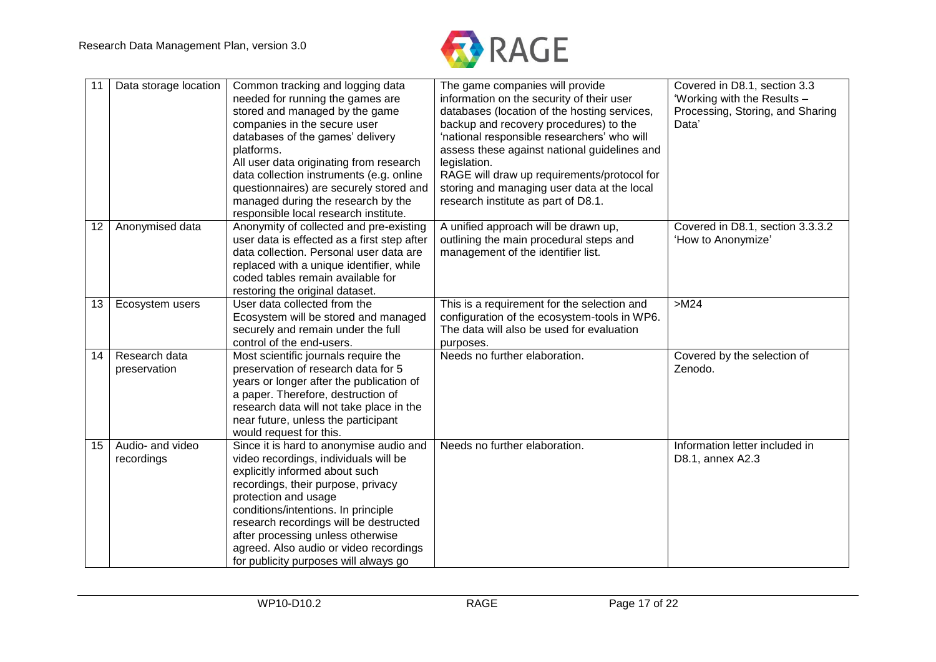

| 11 | Data storage location          | Common tracking and logging data<br>needed for running the games are<br>stored and managed by the game<br>companies in the secure user<br>databases of the games' delivery<br>platforms.<br>All user data originating from research<br>data collection instruments (e.g. online<br>questionnaires) are securely stored and<br>managed during the research by the<br>responsible local research institute. | The game companies will provide<br>information on the security of their user<br>databases (location of the hosting services,<br>backup and recovery procedures) to the<br>'national responsible researchers' who will<br>assess these against national guidelines and<br>legislation.<br>RAGE will draw up requirements/protocol for<br>storing and managing user data at the local<br>research institute as part of D8.1. | Covered in D8.1, section 3.3<br>'Working with the Results -<br>Processing, Storing, and Sharing<br>Data' |
|----|--------------------------------|-----------------------------------------------------------------------------------------------------------------------------------------------------------------------------------------------------------------------------------------------------------------------------------------------------------------------------------------------------------------------------------------------------------|----------------------------------------------------------------------------------------------------------------------------------------------------------------------------------------------------------------------------------------------------------------------------------------------------------------------------------------------------------------------------------------------------------------------------|----------------------------------------------------------------------------------------------------------|
| 12 | Anonymised data                | Anonymity of collected and pre-existing<br>user data is effected as a first step after<br>data collection. Personal user data are<br>replaced with a unique identifier, while<br>coded tables remain available for<br>restoring the original dataset.                                                                                                                                                     | A unified approach will be drawn up,<br>outlining the main procedural steps and<br>management of the identifier list.                                                                                                                                                                                                                                                                                                      | Covered in D8.1, section 3.3.3.2<br>'How to Anonymize'                                                   |
| 13 | Ecosystem users                | User data collected from the<br>Ecosystem will be stored and managed<br>securely and remain under the full<br>control of the end-users.                                                                                                                                                                                                                                                                   | This is a requirement for the selection and<br>configuration of the ecosystem-tools in WP6.<br>The data will also be used for evaluation<br>purposes.                                                                                                                                                                                                                                                                      | $>M24$                                                                                                   |
| 14 | Research data<br>preservation  | Most scientific journals require the<br>preservation of research data for 5<br>years or longer after the publication of<br>a paper. Therefore, destruction of<br>research data will not take place in the<br>near future, unless the participant<br>would request for this.                                                                                                                               | Needs no further elaboration.                                                                                                                                                                                                                                                                                                                                                                                              | Covered by the selection of<br>Zenodo.                                                                   |
| 15 | Audio- and video<br>recordings | Since it is hard to anonymise audio and<br>video recordings, individuals will be<br>explicitly informed about such<br>recordings, their purpose, privacy<br>protection and usage<br>conditions/intentions. In principle<br>research recordings will be destructed<br>after processing unless otherwise<br>agreed. Also audio or video recordings<br>for publicity purposes will always go                 | Needs no further elaboration.                                                                                                                                                                                                                                                                                                                                                                                              | Information letter included in<br>D8.1, annex A2.3                                                       |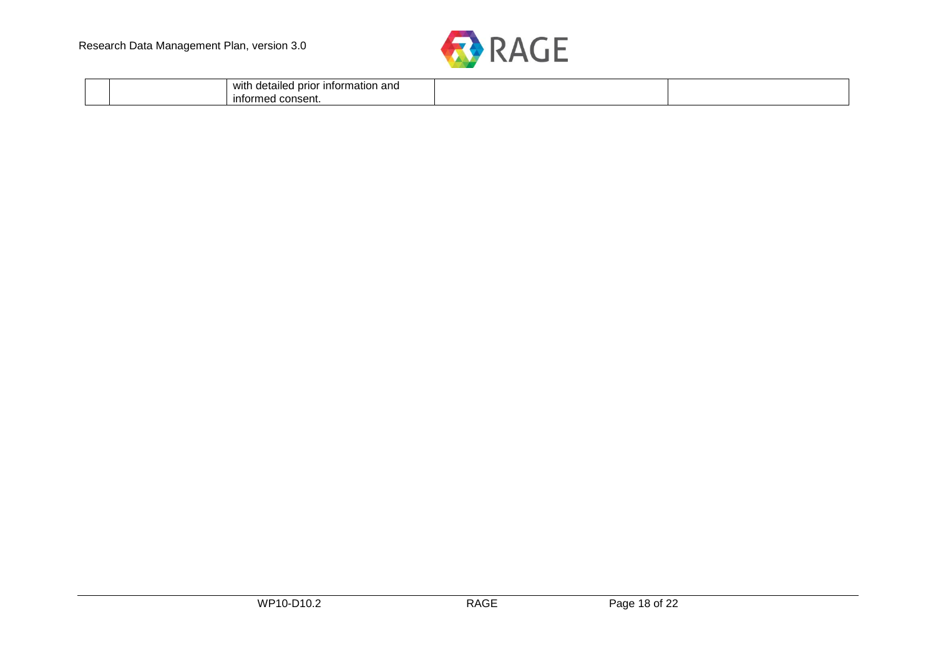

| wit<br>ົ<br>nformation<br>ı detailec<br>prior<br>' anu |  |
|--------------------------------------------------------|--|
| infor<br>$\sim$<br>$n$ $c$<br>une.<br>ייוסטויי<br>. .  |  |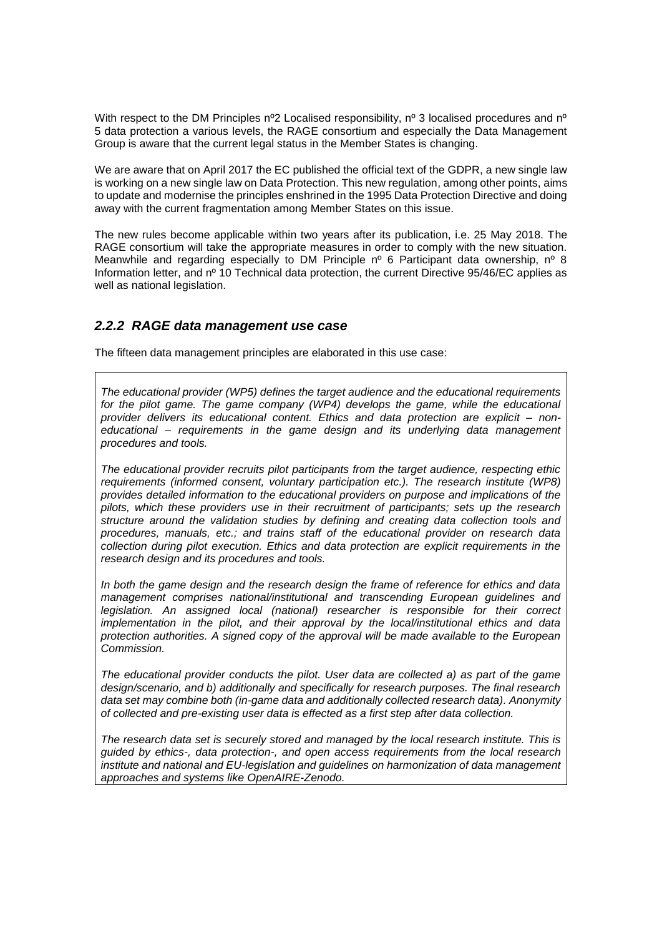With respect to the DM Principles  $n^{\circ}2$  Localised responsibility,  $n^{\circ}3$  localised procedures and  $n^{\circ}$ 5 data protection a various levels, the RAGE consortium and especially the Data Management Group is aware that the current legal status in the Member States is changing.

We are aware that on April 2017 the EC published the official text of the GDPR, a new single law is working on a new single law on Data Protection. This new regulation, among other points, aims to update and modernise the principles enshrined in the 1995 Data Protection Directive and doing away with the current fragmentation among Member States on this issue.

The new rules become applicable within two years after its publication, i.e. 25 May 2018. The RAGE consortium will take the appropriate measures in order to comply with the new situation. Meanwhile and regarding especially to DM Principle  $n^{\circ}$  6 Participant data ownership,  $n^{\circ}$  8 Information letter, and nº 10 Technical data protection, the current Directive 95/46/EC applies as well as national legislation.

## <span id="page-19-0"></span>*2.2.2 RAGE data management use case*

The fifteen data management principles are elaborated in this use case:

*The educational provider (WP5) defines the target audience and the educational requirements*  for the pilot game. The game company (WP4) develops the game, while the educational *provider delivers its educational content. Ethics and data protection are explicit – noneducational – requirements in the game design and its underlying data management procedures and tools.* 

*The educational provider recruits pilot participants from the target audience, respecting ethic requirements (informed consent, voluntary participation etc.). The research institute (WP8) provides detailed information to the educational providers on purpose and implications of the pilots, which these providers use in their recruitment of participants; sets up the research structure around the validation studies by defining and creating data collection tools and procedures, manuals, etc.; and trains staff of the educational provider on research data collection during pilot execution. Ethics and data protection are explicit requirements in the research design and its procedures and tools.*

*In both the game design and the research design the frame of reference for ethics and data management comprises national/institutional and transcending European guidelines and*  legislation. An assigned local (national) researcher is responsible for their correct *implementation in the pilot, and their approval by the local/institutional ethics and data protection authorities. A signed copy of the approval will be made available to the European Commission.*

*The educational provider conducts the pilot. User data are collected a) as part of the game design/scenario, and b) additionally and specifically for research purposes. The final research*  data set may combine both (in-game data and additionally collected research data). Anonymity *of collected and pre-existing user data is effected as a first step after data collection.*

*The research data set is securely stored and managed by the local research institute. This is guided by ethics-, data protection-, and open access requirements from the local research institute and national and EU-legislation and guidelines on harmonization of data management approaches and systems like OpenAIRE-Zenodo.*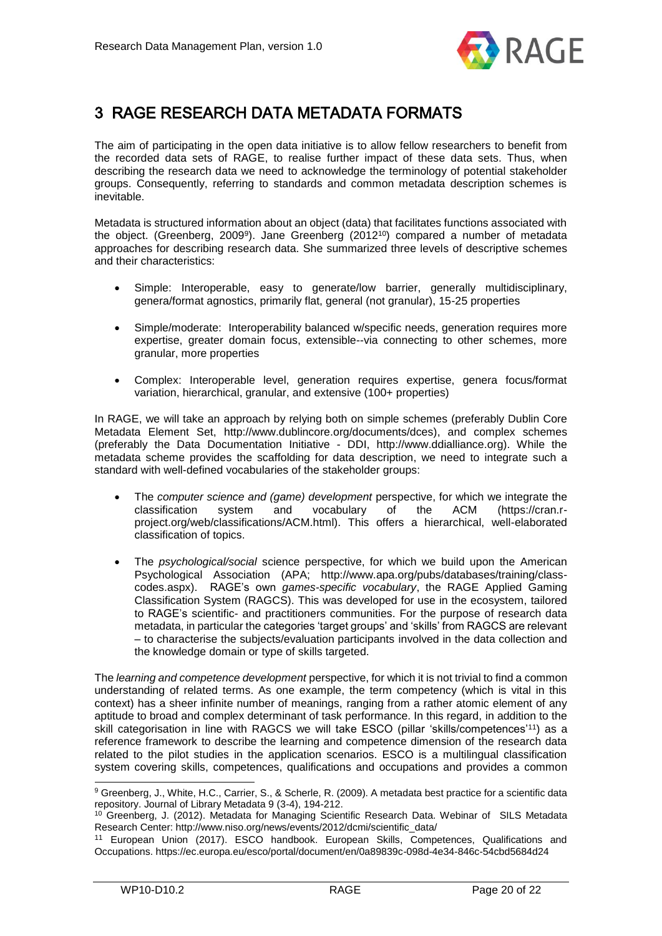

# <span id="page-20-0"></span>3 RAGE RESEARCH DATA METADATA FORMATS

The aim of participating in the open data initiative is to allow fellow researchers to benefit from the recorded data sets of RAGE, to realise further impact of these data sets. Thus, when describing the research data we need to acknowledge the terminology of potential stakeholder groups. Consequently, referring to standards and common metadata description schemes is inevitable.

Metadata is structured information about an object (data) that facilitates functions associated with the object. (Greenberg, 2009<sup>9</sup> ). Jane Greenberg (2012<sup>10</sup>) compared a number of metadata approaches for describing research data. She summarized three levels of descriptive schemes and their characteristics:

- Simple: Interoperable, easy to generate/low barrier, generally multidisciplinary, genera/format agnostics, primarily flat, general (not granular), 15-25 properties
- Simple/moderate: Interoperability balanced w/specific needs, generation requires more expertise, greater domain focus, extensible--via connecting to other schemes, more granular, more properties
- Complex: Interoperable level, generation requires expertise, genera focus/format variation, hierarchical, granular, and extensive (100+ properties)

In RAGE, we will take an approach by relying both on simple schemes (preferably Dublin Core Metadata Element Set, http://www.dublincore.org/documents/dces), and complex schemes (preferably the Data Documentation Initiative - DDI, http://www.ddialliance.org). While the metadata scheme provides the scaffolding for data description, we need to integrate such a standard with well-defined vocabularies of the stakeholder groups:

- The *computer science and (game) development* perspective, for which we integrate the classification system and vocabulary of the ACM (https://cran.rproject.org/web/classifications/ACM.html). This offers a hierarchical, well-elaborated classification of topics.
- The *psychological/social* science perspective, for which we build upon the American Psychological Association (APA; http://www.apa.org/pubs/databases/training/classcodes.aspx). RAGE's own *games-specific vocabulary*, the RAGE Applied Gaming Classification System (RAGCS). This was developed for use in the ecosystem, tailored to RAGE's scientific- and practitioners communities. For the purpose of research data metadata, in particular the categories 'target groups' and 'skills' from RAGCS are relevant – to characterise the subjects/evaluation participants involved in the data collection and the knowledge domain or type of skills targeted.

The *learning and competence development* perspective, for which it is not trivial to find a common understanding of related terms. As one example, the term competency (which is vital in this context) has a sheer infinite number of meanings, ranging from a rather atomic element of any aptitude to broad and complex determinant of task performance. In this regard, in addition to the skill categorisation in line with RAGCS we will take ESCO (pillar 'skills/competences'<sup>11</sup>) as a reference framework to describe the learning and competence dimension of the research data related to the pilot studies in the application scenarios. ESCO is a multilingual classification system covering skills, competences, qualifications and occupations and provides a common

<sup>9</sup> Greenberg, J., White, H.C., Carrier, S., & Scherle, R. (2009). A metadata best practice for a scientific data repository. Journal of Library Metadata 9 (3-4), 194-212.

<sup>&</sup>lt;sup>10</sup> Greenberg, J. (2012). Metadata for Managing Scientific Research Data. Webinar of SILS Metadata Research Center: http://www.niso.org/news/events/2012/dcmi/scientific\_data/

<sup>11</sup> European Union (2017). ESCO handbook. European Skills, Competences, Qualifications and Occupations. https://ec.europa.eu/esco/portal/document/en/0a89839c-098d-4e34-846c-54cbd5684d24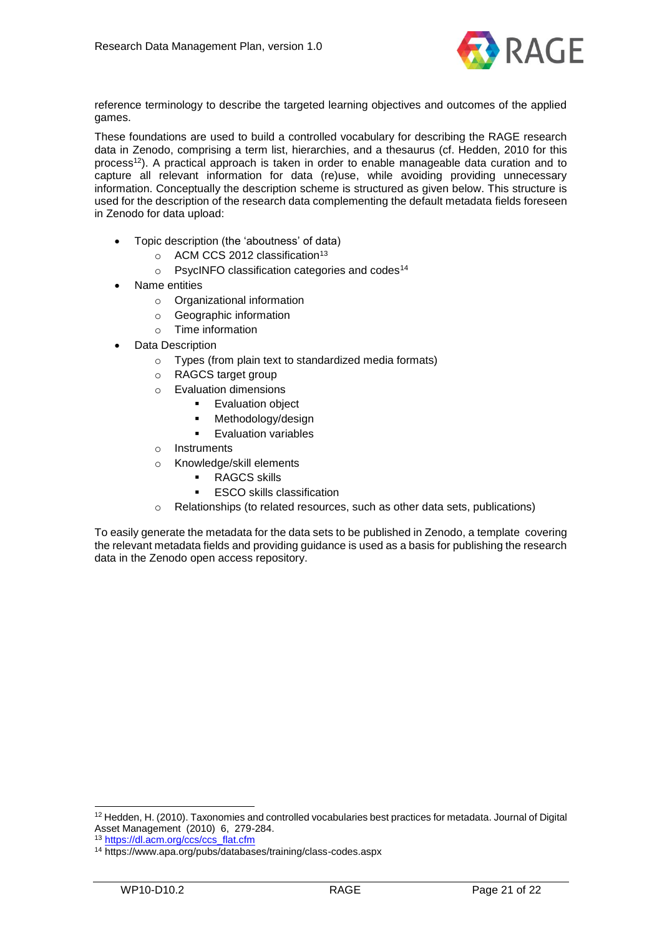

reference terminology to describe the targeted learning objectives and outcomes of the applied games.

These foundations are used to build a controlled vocabulary for describing the RAGE research data in Zenodo, comprising a term list, hierarchies, and a thesaurus (cf. Hedden, 2010 for this process<sup>12</sup>). A practical approach is taken in order to enable manageable data curation and to capture all relevant information for data (re)use, while avoiding providing unnecessary information. Conceptually the description scheme is structured as given below. This structure is used for the description of the research data complementing the default metadata fields foreseen in Zenodo for data upload:

- Topic description (the 'aboutness' of data)
	- $\circ$  ACM CCS 2012 classification<sup>13</sup>
	- o PsycINFO classification categories and codes<sup>14</sup>
- Name entities
	- o Organizational information
	- o Geographic information
	- o Time information
- Data Description
	- o Types (from plain text to standardized media formats)
	- o RAGCS target group
	- o Evaluation dimensions
		- **Evaluation object**
		- Methodology/design
		- **Evaluation variables**
	- o Instruments
	- o Knowledge/skill elements
		- RAGCS skills
		- ESCO skills classification
	- o Relationships (to related resources, such as other data sets, publications)

To easily generate the metadata for the data sets to be published in Zenodo, a template covering the relevant metadata fields and providing guidance is used as a basis for publishing the research data in the Zenodo open access repository.

<sup>&</sup>lt;sup>12</sup> Hedden, H. (2010). Taxonomies and controlled vocabularies best practices for metadata. Journal of Digital Asset Management (2010) 6, 279-284.

<sup>13</sup> [https://dl.acm.org/ccs/ccs\\_flat.cfm](https://dl.acm.org/ccs/ccs_flat.cfm)

<sup>14</sup> https://www.apa.org/pubs/databases/training/class-codes.aspx